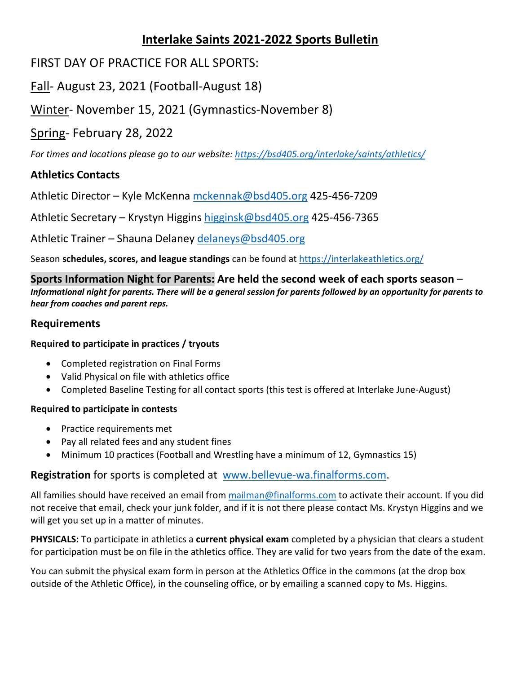# **Interlake Saints 2021-2022 Sports Bulletin**

## FIRST DAY OF PRACTICE FOR ALL SPORTS:

# Fall- August 23, 2021 (Football-August 18)

# Winter- November 15, 2021 (Gymnastics-November 8)

### Spring- February 28, 2022

*For times and locations please go to our website:<https://bsd405.org/interlake/saints/athletics/>*

### **Athletics Contacts**

Athletic Director – Kyle McKenna [mckennak@bsd405.org](mailto:mckennak@bsd405.org) 425-456-7209

Athletic Secretary – Krystyn Higgins [higginsk@bsd405.org](mailto:higginsk@bsd405.org) 425-456-7365

Athletic Trainer – Shauna Delaney [delaneys@bsd405.org](mailto:delaneys@bsd405.org)

Season **schedules, scores, and league standings** can be found a[t https://interlakeathletics.org/](https://interlakeathletics.org/)

**Sports Information Night for Parents: Are held the second week of each sports season** – *Informational night for parents. There will be a general session for parents followed by an opportunity for parents to hear from coaches and parent reps.* 

#### **Requirements**

#### **Required to participate in practices / tryouts**

- Completed registration on Final Forms
- Valid Physical on file with athletics office
- Completed Baseline Testing for all contact sports (this test is offered at Interlake June-August)

#### **Required to participate in contests**

- Practice requirements met
- Pay all related fees and any student fines
- Minimum 10 practices (Football and Wrestling have a minimum of 12, Gymnastics 15)

#### **Registration** for sports is completed at [www.bellevue-wa.finalforms.com.](http://www.bellevue-wa.finalforms.com/)

All families should have received an email from [mailman@finalforms.com](mailto:mailman@finalforms.com) to activate their account. If you did not receive that email, check your junk folder, and if it is not there please contact Ms. Krystyn Higgins and we will get you set up in a matter of minutes.

**PHYSICALS:** To participate in athletics a **current physical exam** completed by a physician that clears a student for participation must be on file in the athletics office. They are valid for two years from the date of the exam.

You can submit the physical exam form in person at the Athletics Office in the commons (at the drop box outside of the Athletic Office), in the counseling office, or by emailing a scanned copy to Ms. Higgins.